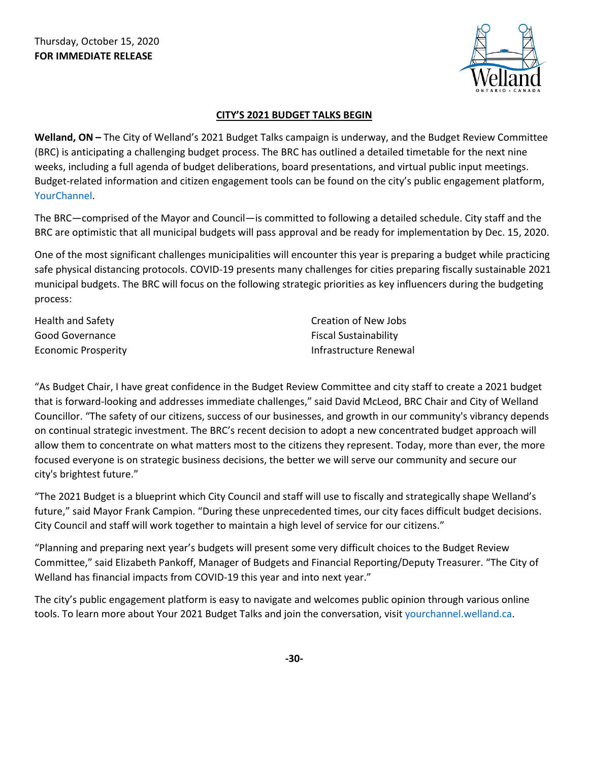

## **CITY'S 2021 BUDGET TALKS BEGIN**

**Welland, ON –** The City of Welland's 2021 Budget Talks campaign is underway, and the Budget Review Committee (BRC) is anticipating a challenging budget process. The BRC has outlined a detailed timetable for the next nine weeks, including a full agenda of budget deliberations, board presentations, and virtual public input meetings. Budget-related information and citizen engagement tools can be found on the city's public engagement platform, [YourChannel.](https://yourchannel.welland.ca/)

The BRC—comprised of the Mayor and Council—is committed to following a detailed schedule. City staff and the BRC are optimistic that all municipal budgets will pass approval and be ready for implementation by Dec. 15, 2020.

One of the most significant challenges municipalities will encounter this year is preparing a budget while practicing safe physical distancing protocols. COVID-19 presents many challenges for cities preparing fiscally sustainable 2021 municipal budgets. The BRC will focus on the following strategic priorities as key influencers during the budgeting process:

| Health and Safety   | Creation of New Jobs         |
|---------------------|------------------------------|
| Good Governance     | <b>Fiscal Sustainability</b> |
| Economic Prosperity | Infrastructure Renewal       |

"As Budget Chair, I have great confidence in the Budget Review Committee and city staff to create a 2021 budget that is forward-looking and addresses immediate challenges," said David McLeod, BRC Chair and City of Welland Councillor. "The safety of our citizens, success of our businesses, and growth in our community's vibrancy depends on continual strategic investment. The BRC's recent decision to adopt a new concentrated budget approach will allow them to concentrate on what matters most to the citizens they represent. Today, more than ever, the more focused everyone is on strategic business decisions, the better we will serve our community and secure our city's brightest future."

"The 2021 Budget is a blueprint which City Council and staff will use to fiscally and strategically shape Welland's future," said Mayor Frank Campion. "During these unprecedented times, our city faces difficult budget decisions. City Council and staff will work together to maintain a high level of service for our citizens."

"Planning and preparing next year's budgets will present some very difficult choices to the Budget Review Committee," said Elizabeth Pankoff, Manager of Budgets and Financial Reporting/Deputy Treasurer. "The City of Welland has financial impacts from COVID-19 this year and into next year."

The city's public engagement platform is easy to navigate and welcomes public opinion through various online tools. To learn more about Your 2021 Budget Talks and join the conversation, visit [yourchannel.welland.ca.](https://yourchannel.welland.ca/)